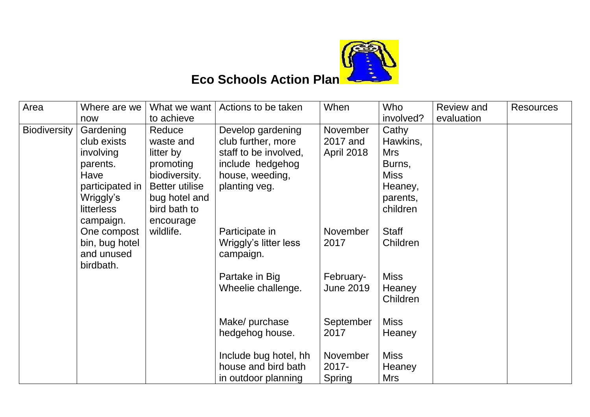

## **Eco Schools Action Plan**

| Area         | Where are we      | What we want          | Actions to be taken   | When              | Who          | <b>Review and</b> | <b>Resources</b> |
|--------------|-------------------|-----------------------|-----------------------|-------------------|--------------|-------------------|------------------|
|              | now               | to achieve            |                       |                   | involved?    | evaluation        |                  |
| Biodiversity | Gardening         | Reduce                | Develop gardening     | November          | Cathy        |                   |                  |
|              | club exists       | waste and             | club further, more    | 2017 and          | Hawkins,     |                   |                  |
|              | involving         | litter by             | staff to be involved, | <b>April 2018</b> | <b>Mrs</b>   |                   |                  |
|              | parents.          | promoting             | include hedgehog      |                   | Burns,       |                   |                  |
|              | Have              | biodiversity.         | house, weeding,       |                   | <b>Miss</b>  |                   |                  |
|              | participated in   | <b>Better utilise</b> | planting veg.         |                   | Heaney,      |                   |                  |
|              | Wriggly's         | bug hotel and         |                       |                   | parents,     |                   |                  |
|              | <b>litterless</b> | bird bath to          |                       |                   | children     |                   |                  |
|              | campaign.         | encourage             |                       |                   |              |                   |                  |
|              | One compost       | wildlife.             | Participate in        | November          | <b>Staff</b> |                   |                  |
|              | bin, bug hotel    |                       | Wriggly's litter less | 2017              | Children     |                   |                  |
|              | and unused        |                       | campaign.             |                   |              |                   |                  |
|              | birdbath.         |                       |                       |                   |              |                   |                  |
|              |                   |                       | Partake in Big        | February-         | <b>Miss</b>  |                   |                  |
|              |                   |                       | Wheelie challenge.    | <b>June 2019</b>  | Heaney       |                   |                  |
|              |                   |                       |                       |                   | Children     |                   |                  |
|              |                   |                       |                       |                   |              |                   |                  |
|              |                   |                       | Make/ purchase        | September         | <b>Miss</b>  |                   |                  |
|              |                   |                       | hedgehog house.       | 2017              | Heaney       |                   |                  |
|              |                   |                       | Include bug hotel, hh | November          | <b>Miss</b>  |                   |                  |
|              |                   |                       | house and bird bath   | 2017-             |              |                   |                  |
|              |                   |                       |                       |                   | Heaney       |                   |                  |
|              |                   |                       | in outdoor planning   | Spring            | Mrs          |                   |                  |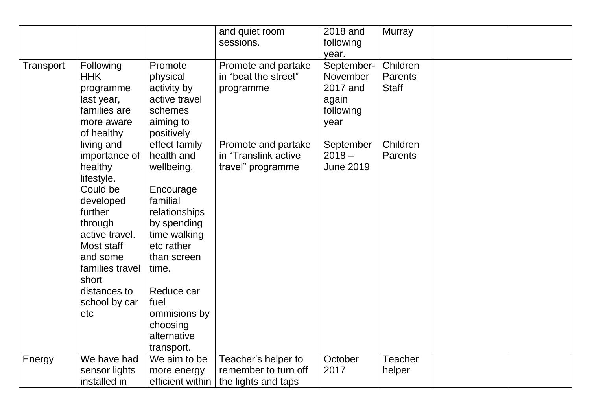|           |                                                                                                                                                                                                                     |                                                                                                                                                                                                                                         | and quiet room<br>sessions.                                        | 2018 and<br>following<br>year.                                   | <b>Murray</b>                              |  |
|-----------|---------------------------------------------------------------------------------------------------------------------------------------------------------------------------------------------------------------------|-----------------------------------------------------------------------------------------------------------------------------------------------------------------------------------------------------------------------------------------|--------------------------------------------------------------------|------------------------------------------------------------------|--------------------------------------------|--|
| Transport | Following<br><b>HHK</b><br>programme<br>last year,<br>families are<br>more aware<br>of healthy                                                                                                                      | Promote<br>physical<br>activity by<br>active travel<br>schemes<br>aiming to<br>positively                                                                                                                                               | Promote and partake<br>in "beat the street"<br>programme           | September-<br>November<br>2017 and<br>again<br>following<br>year | Children<br><b>Parents</b><br><b>Staff</b> |  |
|           | living and<br>importance of<br>healthy<br>lifestyle.<br>Could be<br>developed<br>further<br>through<br>active travel.<br>Most staff<br>and some<br>families travel<br>short<br>distances to<br>school by car<br>etc | effect family<br>health and<br>wellbeing.<br>Encourage<br>familial<br>relationships<br>by spending<br>time walking<br>etc rather<br>than screen<br>time.<br>Reduce car<br>fuel<br>ommisions by<br>choosing<br>alternative<br>transport. | Promote and partake<br>in "Translink active<br>travel" programme   | September<br>$2018 -$<br><b>June 2019</b>                        | Children<br><b>Parents</b>                 |  |
| Energy    | We have had<br>sensor lights<br>installed in                                                                                                                                                                        | We aim to be<br>more energy<br>efficient within                                                                                                                                                                                         | Teacher's helper to<br>remember to turn off<br>the lights and taps | October<br>2017                                                  | <b>Teacher</b><br>helper                   |  |